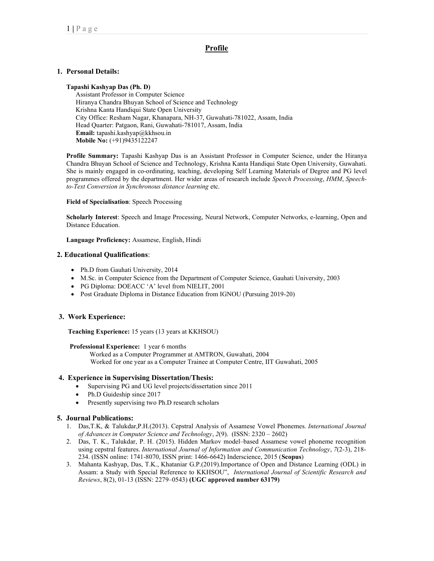# Profile

# 1. Personal Details:

#### Tapashi Kashyap Das (Ph. D)

Assistant Professor in Computer Science Hiranya Chandra Bhuyan School of Science and Technology Krishna Kanta Handiqui State Open University City Office: Resham Nagar, Khanapara, NH-37, Guwahati-781022, Assam, India Head Quarter: Patgaon, Rani, Guwahati-781017, Assam, India Email: tapashi.kashyap@kkhsou.in Mobile No: (+91)9435122247

Profile Summary: Tapashi Kashyap Das is an Assistant Professor in Computer Science, under the Hiranya Chandra Bhuyan School of Science and Technology, Krishna Kanta Handiqui State Open University, Guwahati. She is mainly engaged in co-ordinating, teaching, developing Self Learning Materials of Degree and PG level programmes offered by the department. Her wider areas of research include Speech Processing, HMM, Speechto-Text Conversion in Synchronous distance learning etc.

#### Field of Specialisation: Speech Processing

Scholarly Interest: Speech and Image Processing, Neural Network, Computer Networks, e-learning, Open and Distance Education.

#### Language Proficiency: Assamese, English, Hindi

#### 2. Educational Qualifications:

- Ph.D from Gauhati University, 2014
- M.Sc. in Computer Science from the Department of Computer Science, Gauhati University, 2003
- PG Diploma: DOEACC 'A' level from NIELIT, 2001
- Post Graduate Diploma in Distance Education from IGNOU (Pursuing 2019-20)

### 3. Work Experience:

Teaching Experience: 15 years (13 years at KKHSOU)

#### Professional Experience: 1 year 6 months

 Worked as a Computer Programmer at AMTRON, Guwahati, 2004 Worked for one year as a Computer Trainee at Computer Centre, IIT Guwahati, 2005

### 4. Experience in Supervising Dissertation/Thesis:

- Supervising PG and UG level projects/dissertation since 2011
- Ph.D Guideship since 2017
- Presently supervising two Ph.D research scholars

### 5. Journal Publications:

- 1. Das,T.K, & Talukdar,P.H.(2013). Cepstral Analysis of Assamese Vowel Phonemes. International Journal of Advances in Computer Science and Technology, 2(9). (ISSN: 2320 – 2602)
- 2. Das, T. K., Talukdar, P. H. (2015). Hidden Markov model–based Assamese vowel phoneme recognition using cepstral features. International Journal of Information and Communication Technology, 7(2-3), 218- 234. (ISSN online: 1741-8070, ISSN print: 1466-6642) Inderscience, 2015 (Scopus)
- 3. Mahanta Kashyap, Das, T.K., Khataniar G.P.(2019).Importance of Open and Distance Learning (ODL) in Assam: a Study with Special Reference to KKHSOU", International Journal of Scientific Research and Reviews, 8(2), 01-13 (ISSN: 2279–0543) (UGC approved number 63179)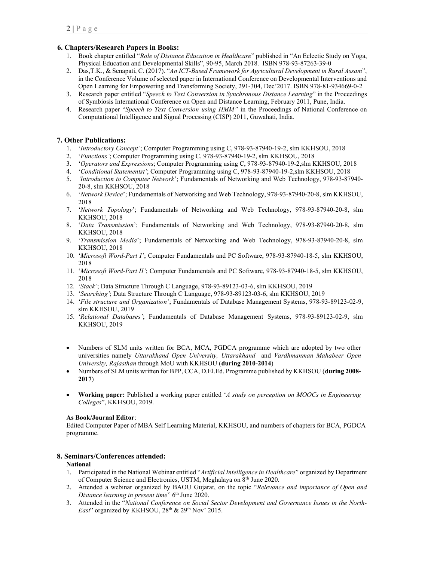# 6. Chapters/Research Papers in Books:

- 1. Book chapter entitled "Role of Distance Education in Healthcare" published in "An Eclectic Study on Yoga, Physical Education and Developmental Skills", 90-95, March 2018. ISBN 978-93-87263-39-0
- 2. Das,T.K., & Senapati, C. (2017). "An ICT-Based Framework for Agricultural Development in Rural Assam", in the Conference Volume of selected paper in International Conference on Developmental Interventions and Open Learning for Empowering and Transforming Society, 291-304, Dec'2017. ISBN 978-81-934669-0-2
- 3. Research paper entitled "Speech to Text Conversion in Synchronous Distance Learning" in the Proceedings of Symbiosis International Conference on Open and Distance Learning, February 2011, Pune, India.
- 4. Research paper "Speech to Text Conversion using HMM" in the Proceedings of National Conference on Computational Intelligence and Signal Processing (CISP) 2011, Guwahati, India.

# 7. Other Publications:

- 1. 'Introductory Concept'; Computer Programming using C, 978-93-87940-19-2, slm KKHSOU, 2018
- 2. 'Functions'; Computer Programming using C, 978-93-87940-19-2, slm KKHSOU, 2018
- 3. 'Operators and Expressions; Computer Programming using C, 978-93-87940-19-2,slm KKHSOU, 2018
- 4. 'Conditional Statementst'; Computer Programming using C, 978-93-87940-19-2, slm KKHSOU, 2018
- 5. 'Introduction to Computer Network'; Fundamentals of Networking and Web Technology, 978-93-87940- 20-8, slm KKHSOU, 2018
- 6. 'Network Device'; Fundamentals of Networking and Web Technology, 978-93-87940-20-8, slm KKHSOU, 2018
- 7. 'Network Topology'; Fundamentals of Networking and Web Technology, 978-93-87940-20-8, slm KKHSOU, 2018
- 8. 'Data Transmission'; Fundamentals of Networking and Web Technology, 978-93-87940-20-8, slm KKHSOU, 2018
- 9. 'Transmission Media'; Fundamentals of Networking and Web Technology, 978-93-87940-20-8, slm KKHSOU, 2018
- 10. 'Microsoft Word-Part I'; Computer Fundamentals and PC Software, 978-93-87940-18-5, slm KKHSOU, 2018
- 11. 'Microsoft Word-Part II'; Computer Fundamentals and PC Software, 978-93-87940-18-5, slm KKHSOU, 2018
- 12. 'Stack'; Data Structure Through C Language, 978-93-89123-03-6, slm KKHSOU, 2019
- 13. 'Searching'; Data Structure Through C Language, 978-93-89123-03-6, slm KKHSOU, 2019
- 14. 'File structure and Organization'; Fundamentals of Database Management Systems, 978-93-89123-02-9, slm KKHSOU, 2019
- 15. 'Relational Databases'; Fundamentals of Database Management Systems, 978-93-89123-02-9, slm KKHSOU, 2019
- Numbers of SLM units written for BCA, MCA, PGDCA programme which are adopted by two other universities namely Uttarakhand Open University, Uttarakhand and Vardhmanman Mahabeer Open University, Rajasthan through MoU with KKHSOU (during 2010-2014)
- Numbers of SLM units written for BPP, CCA, D.El.Ed. Programme published by KKHSOU (during 2008- 2017)
- Working paper: Published a working paper entitled 'A study on perception on MOOCs in Engineering Colleges", KKHSOU, 2019.

### As Book/Journal Editor:

Edited Computer Paper of MBA Self Learning Material, KKHSOU, and numbers of chapters for BCA, PGDCA programme.

### 8. Seminars/Conferences attended:

### National

- 1. Participated in the National Webinar entitled "Artificial Intelligence in Healthcare" organized by Department of Computer Science and Electronics, USTM, Meghalaya on 8th June 2020.
- 2. Attended a webinar organized by BAOU Gujarat, on the topic "Relevance and importance of Open and Distance learning in present time"  $6<sup>th</sup>$  June 2020.
- 3. Attended in the "National Conference on Social Sector Development and Governance Issues in the North-*East*" organized by KKHSOU,  $28<sup>th</sup>$  &  $29<sup>th</sup>$  Nov' 2015.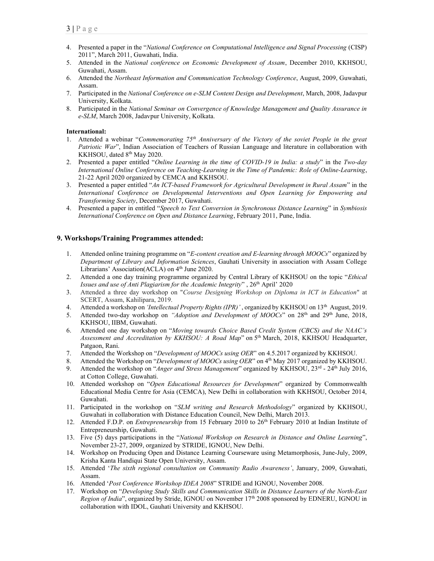- 4. Presented a paper in the "National Conference on Computational Intelligence and Signal Processing (CISP) 2011", March 2011, Guwahati, India.
- 5. Attended in the National conference on Economic Development of Assam, December 2010, KKHSOU, Guwahati, Assam.
- 6. Attended the Northeast Information and Communication Technology Conference, August, 2009, Guwahati, Assam.
- 7. Participated in the National Conference on e-SLM Content Design and Development, March, 2008, Jadavpur University, Kolkata.
- 8. Participated in the National Seminar on Convergence of Knowledge Management and Quality Assurance in e-SLM, March 2008, Jadavpur University, Kolkata.

#### International:

- 1. Attended a webinar "Commemorating  $75<sup>th</sup>$  Anniversary of the Victory of the soviet People in the great Patriotic War", Indian Association of Teachers of Russian Language and literature in collaboration with KKHSOU, dated 8<sup>th</sup> May 2020.
- 2. Presented a paper entitled "Online Learning in the time of COVID-19 in India: a study" in the Two-day International Online Conference on Teaching-Learning in the Time of Pandemic: Role of Online-Learning, 21-22 April 2020 organized by CEMCA and KKHSOU.
- 3. Presented a paper entitled "An ICT-based Framework for Agricultural Development in Rural Assam" in the International Conference on Developmental Interventions and Open Learning for Empowering and Transforming Society, December 2017, Guwahati.
- 4. Presented a paper in entitled "Speech to Text Conversion in Synchronous Distance Learning" in Symbiosis International Conference on Open and Distance Learning, February 2011, Pune, India.

### 9. Workshops/Training Programmes attended:

- 1. Attended online training programme on "E-content creation and E-learning through MOOCs" organized by Department of Library and Information Sciences, Gauhati University in association with Assam College Librarians' Association(ACLA) on 4<sup>th</sup> June 2020.
- 2. Attended a one day training programme organized by Central Library of KKHSOU on the topic "*Ethical* Issues and use of Anti Plagiarism for the Academic Integrity",  $26<sup>th</sup>$  April' 2020
- 3. Attended a three day workshop on "Course Designing Workshop on Diploma in ICT in Education" at SCERT, Assam, Kahilipara, 2019.
- 4. Attended a workshop on 'Intellectual Property Rights (IPR)', organized by KKHSOU on 13<sup>th</sup> August, 2019.
- 5. Attended two-day workshop on "Adoption and Development of MOOCs" on 28<sup>th</sup> and 29<sup>th</sup> June, 2018, KKHSOU, IIBM, Guwahati.
- 6. Attended one day workshop on "Moving towards Choice Based Credit System (CBCS) and the NAAC's Assessment and Accreditation by KKHSOU: A Road Map" on 5<sup>th</sup> March, 2018, KKHSOU Headquarter, Patgaon, Rani.
- 7. Attended the Workshop on "Development of MOOCs using OER" on 4.5.2017 organized by KKHSOU.
- 8. Attended the Workshop on "Development of MOOCs using OER" on 4<sup>th</sup> May 2017 organized by KKHSOU.
- 9. Attended the workshop on "Anger and Stress Management" organized by KKHSOU,  $23<sup>rd</sup>$   $24<sup>th</sup>$  July 2016, at Cotton College, Guwahati.
- 10. Attended workshop on "Open Educational Resources for Development" organized by Commonwealth Educational Media Centre for Asia (CEMCA), New Delhi in collaboration with KKHSOU, October 2014, Guwahati.
- 11. Participated in the workshop on "SLM writing and Research Methodology" organized by KKHSOU, Guwahati in collaboration with Distance Education Council, New Delhi, March 2013.
- 12. Attended F.D.P. on *Entrepreneurship* from 15 February 2010 to 26<sup>th</sup> February 2010 at Indian Institute of Entrepreneurship, Guwahati.
- 13. Five (5) days participations in the "National Workshop on Research in Distance and Online Learning", November 23-27, 2009, organized by STRIDE, IGNOU, New Delhi.
- 14. Workshop on Producing Open and Distance Learning Courseware using Metamorphosis, June-July, 2009, Krisha Kanta Handiqui State Open University, Assam.
- 15. Attended 'The sixth regional consultation on Community Radio Awareness', January, 2009, Guwahati, Assam.
- 16. Attended 'Post Conference Workshop IDEA 2008" STRIDE and IGNOU, November 2008.
- 17. Workshop on "Developing Study Skills and Communication Skills in Distance Learners of the North-East Region of India", organized by Stride, IGNOU on November 17th 2008 sponsored by EDNERU, IGNOU in collaboration with IDOL, Gauhati University and KKHSOU.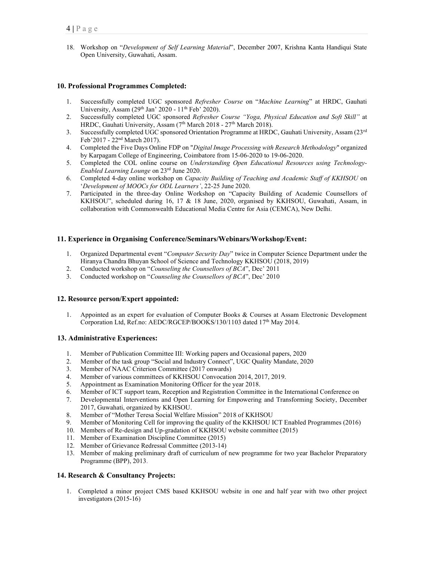18. Workshop on "Development of Self Learning Material", December 2007, Krishna Kanta Handiqui State Open University, Guwahati, Assam.

## 10. Professional Programmes Completed:

- 1. Successfully completed UGC sponsored Refresher Course on "Machine Learning" at HRDC, Gauhati University, Assam  $(29<sup>th</sup> Jan' 2020 - 11<sup>th</sup> Feb' 2020)$ .
- 2. Successfully completed UGC sponsored Refresher Course "Yoga, Physical Education and Soft Skill" at HRDC, Gauhati University, Assam (7<sup>th</sup> March 2018 - 27<sup>th</sup> March 2018).
- 3. Successfully completed UGC sponsored Orientation Programme at HRDC, Gauhati University, Assam (23<sup>rd</sup>) Feb'2017 - 22nd March 2017).
- 4. Completed the Five Days Online FDP on "Digital Image Processing with Research Methodology" organized by Karpagam College of Engineering, Coimbatore from 15-06-2020 to 19-06-2020.
- 5. Completed the COL online course on Understanding Open Educational Resources using Technology-Enabled Learning Lounge on 23rd June 2020.
- 6. Completed 4-day online workshop on Capacity Building of Teaching and Academic Staff of KKHSOU on 'Development of MOOCs for ODL Learners', 22-25 June 2020.
- 7. Participated in the three-day Online Workshop on "Capacity Building of Academic Counsellors of KKHSOU", scheduled during 16, 17 & 18 June, 2020, organised by KKHSOU, Guwahati, Assam, in collaboration with Commonwealth Educational Media Centre for Asia (CEMCA), New Delhi.

### 11. Experience in Organising Conference/Seminars/Webinars/Workshop/Event:

- 1. Organized Departmental event "Computer Security Day" twice in Computer Science Department under the Hiranya Chandra Bhuyan School of Science and Technology KKHSOU (2018, 2019)
- 2. Conducted workshop on "Counseling the Counsellors of BCA", Dec' 2011
- 3. Conducted workshop on "Counseling the Counsellors of BCA", Dec' 2010

### 12. Resource person/Expert appointed:

1. Appointed as an expert for evaluation of Computer Books & Courses at Assam Electronic Development Corporation Ltd, Ref.no: AEDC/RGCEP/BOOKS/130/1103 dated 17<sup>th</sup> May 2014.

### 13. Administrative Experiences:

- 1. Member of Publication Committee III: Working papers and Occasional papers, 2020
- 2. Member of the task group "Social and Industry Connect", UGC Quality Mandate, 2020
- 3. Member of NAAC Criterion Committee (2017 onwards)
- 4. Member of various committees of KKHSOU Convocation 2014, 2017, 2019.
- 5. Appointment as Examination Monitoring Officer for the year 2018.
- 6. Member of ICT support team, Reception and Registration Committee in the International Conference on
- 7. Developmental Interventions and Open Learning for Empowering and Transforming Society, December 2017, Guwahati, organized by KKHSOU.
- 8. Member of "Mother Teresa Social Welfare Mission" 2018 of KKHSOU
- 9. Member of Monitoring Cell for improving the quality of the KKHSOU ICT Enabled Programmes (2016)
- 10. Members of Re-design and Up-gradation of KKHSOU website committee (2015)
- 11. Member of Examination Discipline Committee (2015)
- 12. Member of Grievance Redressal Committee (2013-14)
- 13. Member of making preliminary draft of curriculum of new programme for two year Bachelor Preparatory Programme (BPP), 2013.

### 14. Research & Consultancy Projects:

1. Completed a minor project CMS based KKHSOU website in one and half year with two other project investigators (2015-16)